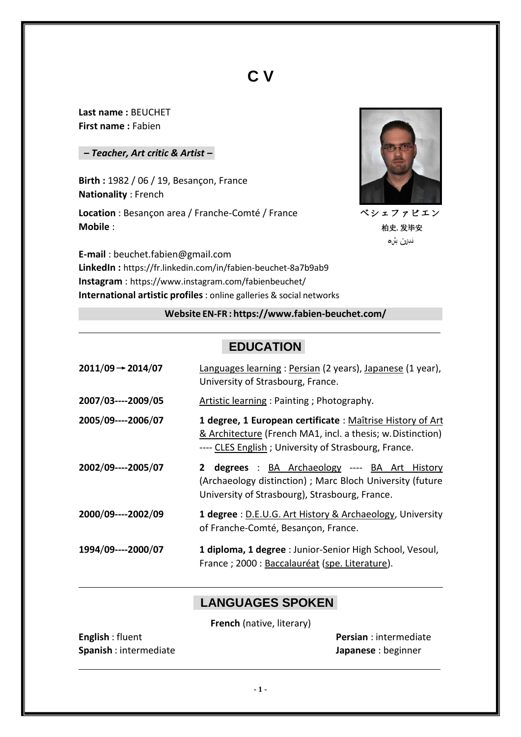# **C V**

**Last name :** BEUCHET **First name :** Fabien

#### *– Teacher, Art critic & Artist –*

**Birth :** 1982 / 06 / 19, Besançon, France **Nationality** : French

**Location** : Besançon area / Franche-Comté / France **Mobile** :



ベシェファビエン 柏史.发毕安 نسبرین بشء

**E-mail** [: beuchet.fabien@gmail.com](mailto:beuchet.fabien@gmail.com) **LinkedIn :** https://fr.linkedin.com/in/fabien-beuchet-8a7b9ab9 **Instagram** : https:[//www.instagram.com/fabienbeuchet/](http://www.instagram.com/fabienbeuchet/) **International artistic profiles**: online galleries & social networks

#### **Website EN-FR : https:/[/www.fabien-beuchet.com/](http://www.fabien-beuchet.com/)**

# **EDUCATION**

| $2011/09 \rightarrow 2014/07$ | Languages learning : Persian (2 years), Japanese (1 year),<br>University of Strasbourg, France.                                                                                   |
|-------------------------------|-----------------------------------------------------------------------------------------------------------------------------------------------------------------------------------|
| 2007/03----2009/05            | Artistic learning: Painting; Photography.                                                                                                                                         |
| 2005/09----2006/07            | 1 degree, 1 European certificate : Maîtrise History of Art<br>& Architecture (French MA1, incl. a thesis; w. Distinction)<br>---- CLES English; University of Strasbourg, France. |
| 2002/09----2005/07            | 2 degrees : BA Archaeology ---- BA Art History<br>(Archaeology distinction) ; Marc Bloch University (future<br>University of Strasbourg), Strasbourg, France.                     |
| 2000/09----2002/09            | 1 degree : D.E.U.G. Art History & Archaeology, University<br>of Franche-Comté, Besançon, France.                                                                                  |
| 1994/09----2000/07            | 1 diploma, 1 degree : Junior-Senior High School, Vesoul,<br>France ; 2000 : Baccalauréat (spe. Literature).                                                                       |

### **LANGUAGES SPOKEN**

**French** (native, literary)

| <b>English:</b> fluent |
|------------------------|
| Spanish : intermediate |

**Persian** : intermediate **Japanese** : beginner